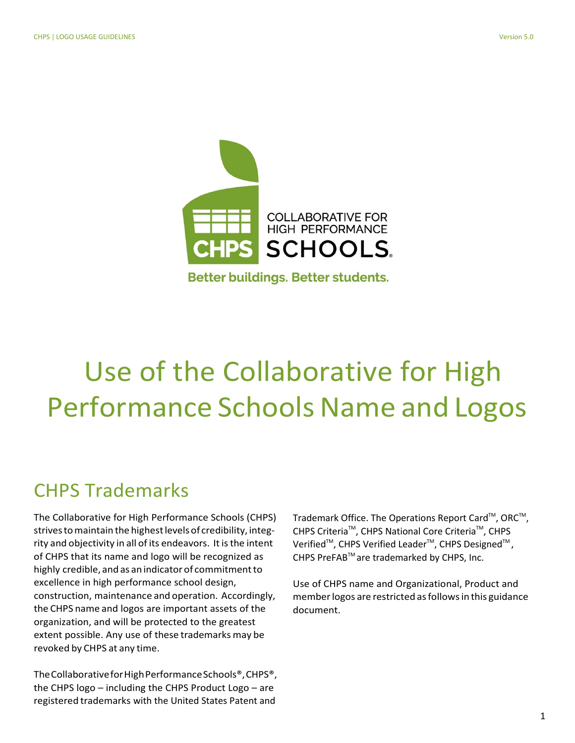

# Use of the Collaborative for High Performance Schools Name and Logos

### CHPS Trademarks

The Collaborative for High Performance Schools (CHPS) strives to maintain the highest levels of credibility, integrity and objectivity in all of its endeavors. It is the intent of CHPS that its name and logo will be recognized as highly credible, and as an indicator of commitment to excellence in high performance school design, construction, maintenance and operation. Accordingly, the CHPS name and logos are important assets of the organization, and will be protected to the greatest extent possible. Any use of these trademarks may be revoked by CHPS at any time.

The Collaborative for High Performance Schools®, CHPS®, the CHPS logo – including the CHPS Product Logo – are registered trademarks with the United States Patent and

Trademark Office. The Operations Report Card™, ORC™, CHPS Criteria<sup>™</sup>, CHPS National Core Criteria<sup>™</sup>, CHPS Verified<sup>™</sup>, CHPS Verified Leader<sup>™</sup>, CHPS Designed<sup>™</sup>, CHPS PreFAB<sup>™</sup> are trademarked by CHPS, Inc.

Use of CHPS name and Organizational, Product and member logos are restricted as follows in this guidance document.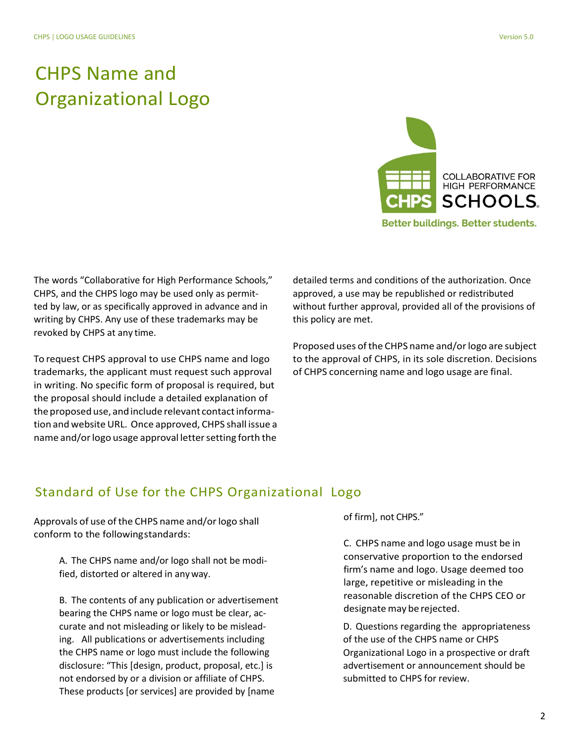# CHPS Name and Organizational Logo



**Better buildings. Better students.** 

The words "Collaborative for High Performance Schools," CHPS, and the CHPS logo may be used only as permitted by law, or as specifically approved in advance and in writing by CHPS. Any use of these trademarks may be revoked by CHPS at any time.

To request CHPS approval to use CHPS name and logo trademarks, the applicant must request such approval in writing. No specific form of proposal is required, but the proposal should include a detailed explanation of the proposed use, and include relevant contact information and website URL. Once approved, CHPS shall issue a name and/or logo usage approval letter setting forth the

detailed terms and conditions of the authorization. Once approved, a use may be republished or redistributed without further approval, provided all of the provisions of this policy are met.

Proposed uses of the CHPS name and/or logo are subject to the approval of CHPS, in its sole discretion. Decisions of CHPS concerning name and logo usage are final.

#### Standard of Use for the CHPS Organizational Logo

Approvals of use of the CHPS name and/or logo shall conform to the followingstandards:

> A. The CHPS name and/or logo shall not be modified, distorted or altered in anyway.

B. The contents of any publication or advertisement bearing the CHPS name or logo must be clear, accurate and not misleading or likely to be misleading. All publications or advertisements including the CHPS name or logo must include the following disclosure: "This [design, product, proposal, etc.] is not endorsed by or a division or affiliate of CHPS. These products [or services] are provided by [name

of firm], not CHPS."

C. CHPS name and logo usage must be in conservative proportion to the endorsed firm's name and logo. Usage deemed too large, repetitive or misleading in the reasonable discretion of the CHPS CEO or designate may be rejected.

D. Questions regarding the appropriateness of the use of the CHPS name or CHPS Organizational Logo in a prospective or draft advertisement or announcement should be submitted to CHPS for review.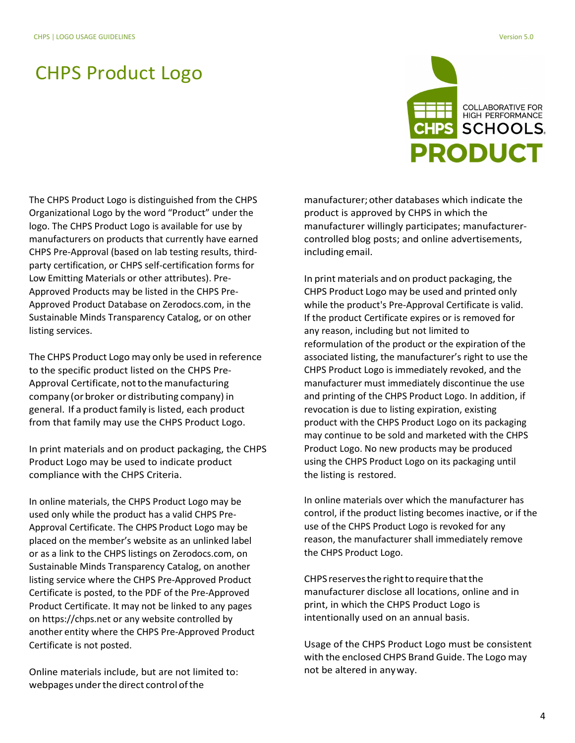# CHPS Product Logo



The CHPS Product Logo is distinguished from the CHPS Organizational Logo by the word "Product" under the logo. The CHPS Product Logo is available for use by manufacturers on products that currently have earned CHPS Pre-Approval (based on lab testing results, thirdparty certification, or CHPS self-certification forms for Low Emitting Materials or other attributes). Pre-Approved Products may be listed in the CHPS Pre-Approved Product Database on Zerodocs.com, in the Sustainable Minds Transparency Catalog, or on other listing services.

The CHPS Product Logo may only be used in reference to the specific product listed on the CHPS Pre-Approval Certificate, not to the manufacturing company (or broker or distributing company) in general. If a product family is listed, each product from that family may use the CHPS Product Logo.

In print materials and on product packaging, the CHPS Product Logo may be used to indicate product compliance with the CHPS Criteria.

In online materials, the CHPS Product Logo may be used only while the product has a valid CHPS Pre-Approval Certificate. The CHPS Product Logo may be placed on the member's website as an unlinked label or as a link to the CHPS listings on Zerodocs.com, on Sustainable Minds Transparency Catalog, on another listing service where the CHPS Pre-Approved Product Certificate is posted, to the PDF of the Pre-Approved Product Certificate. It may not be linked to any pages on https:/[/chps.net o](http://www.chps.net/)r any website controlled by another entity where the CHPS Pre-Approved Product Certificate is not posted.

Online materials include, but are not limited to: webpages under the direct control of the

manufacturer; other databases which indicate the product is approved by CHPS in which the manufacturer willingly participates; manufacturercontrolled blog posts; and online advertisements, including email.

In print materials and on product packaging, the CHPS Product Logo may be used and printed only while the product's Pre-Approval Certificate is valid. If the product Certificate expires or is removed for any reason, including but not limited to reformulation of the product or the expiration of the associated listing, the manufacturer's right to use the CHPS Product Logo is immediately revoked, and the manufacturer must immediately discontinue the use and printing of the CHPS Product Logo. In addition, if revocation is due to listing expiration, existing product with the CHPS Product Logo on its packaging may continue to be sold and marketed with the CHPS Product Logo. No new products may be produced using the CHPS Product Logo on its packaging until the listing is restored.

In online materials over which the manufacturer has control, if the product listing becomes inactive, or if the use of the CHPS Product Logo is revoked for any reason, the manufacturer shall immediately remove the CHPS Product Logo.

CHPS reserves the right to require that the manufacturer disclose all locations, online and in print, in which the CHPS Product Logo is intentionally used on an annual basis.

Usage of the CHPS Product Logo must be consistent with the enclosed CHPS Brand Guide. The Logo may not be altered in anyway.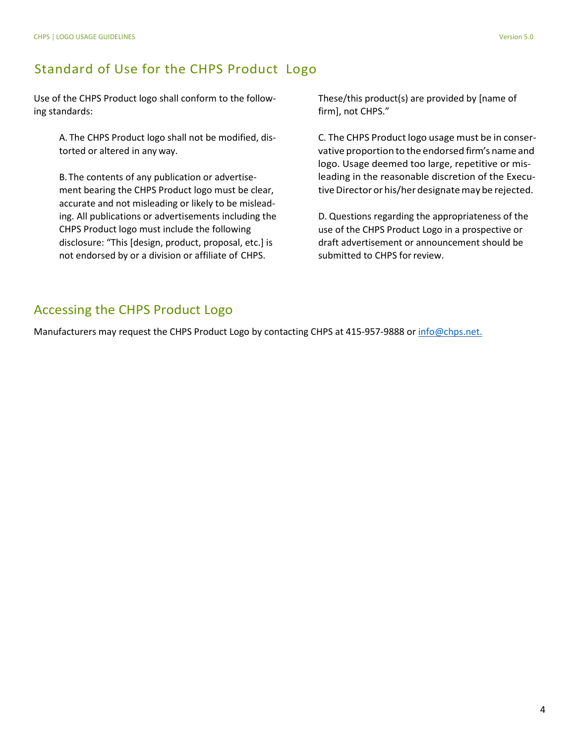#### Standard of Use for the CHPS Product Logo

Use of the CHPS Product logo shall conform to the following standards:

> A. The CHPS Product logo shall not be modified, distorted or altered in any way.

> B.The contents of any publication or advertisement bearing the CHPS Product logo must be clear, accurate and not misleading or likely to be misleading. All publications or advertisements including the CHPS Product logo must include the following disclosure: "This [design, product, proposal, etc.] is not endorsed by or a division or affiliate of CHPS.

These/this product(s) are provided by [name of firm], not CHPS."

C. The CHPS Product logo usage must be in conservative proportion to the endorsed firm's name and logo. Usage deemed too large, repetitive or misleading in the reasonable discretion of the Executive Director or his/her designate may be rejected.

D. Questions regarding the appropriateness of the use of the CHPS Product Logo in a prospective or draft advertisement or announcement should be submitted to CHPS forreview.

#### Accessing the CHPS Product Logo

Manufacturers may request the CHPS Product Logo by contacting CHPS at 415-957-9888 o[r info@chps.net.](mailto:info@chps.net.)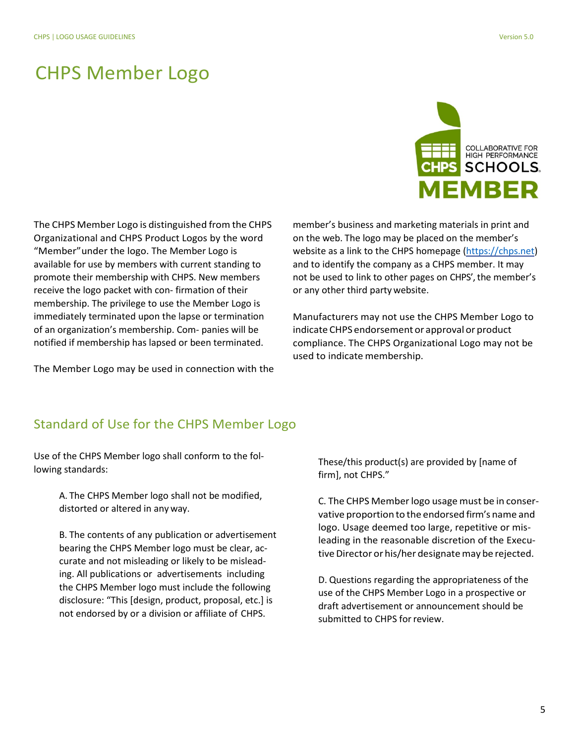## CHPS Member Logo

COLLABORATIVE FOR<br>HIGH PERFORMANCE **HPS SCHOOLS.** *IEMBER* 

The CHPS Member Logo is distinguished from the CHPS Organizational and CHPS Product Logos by the word "Member"under the logo. The Member Logo is available for use by members with current standing to promote their membership with CHPS. New members receive the logo packet with con- firmation of their membership. The privilege to use the Member Logo is immediately terminated upon the lapse or termination of an organization's membership. Com- panies will be notified if membership has lapsed or been terminated.

The Member Logo may be used in connection with the

member's business and marketing materials in print and on the web. The logo may be placed on the member's website as a link to the CHPS homepage [\(https://chps.net\)](https://chps.net/) and to identify the company as a CHPS member. It may not be used to link to other pages on CHPS', the member's or any other third party website.

Manufacturers may not use the CHPS Member Logo to indicate CHPS endorsement or approval or product compliance. The CHPS Organizational Logo may not be used to indicate membership.

#### Standard of Use for the CHPS Member Logo

Use of the CHPS Member logo shall conform to the following standards:

> A. The CHPS Member logo shall not be modified, distorted or altered in any way.

B. The contents of any publication or advertisement bearing the CHPS Member logo must be clear, accurate and not misleading or likely to be misleading. All publications or advertisements including the CHPS Member logo must include the following disclosure: "This [design, product, proposal, etc.] is not endorsed by or a division or affiliate of CHPS.

These/this product(s) are provided by [name of firm], not CHPS."

C. The CHPS Memberlogo usage must be in conservative proportion to the endorsed firm's name and logo. Usage deemed too large, repetitive or misleading in the reasonable discretion of the Executive Director or his/her designate may be rejected.

D. Questions regarding the appropriateness of the use of the CHPS Member Logo in a prospective or draft advertisement or announcement should be submitted to CHPS for review.